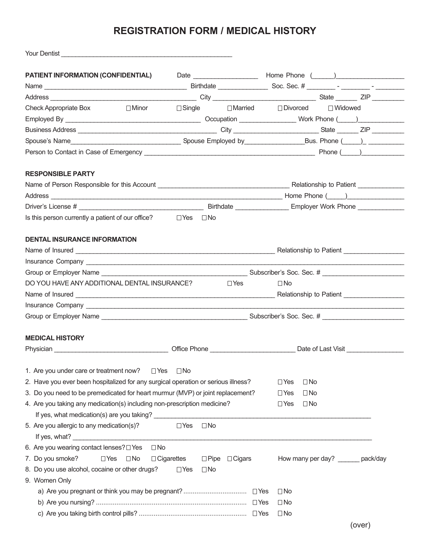## **REGISTRATION FORM / MEDICAL HISTORY**

| Your Dentist New Your Dentist                                                                                                                              |                         |                           |                                   |  |  |  |
|------------------------------------------------------------------------------------------------------------------------------------------------------------|-------------------------|---------------------------|-----------------------------------|--|--|--|
| PATIENT INFORMATION (CONFIDENTIAL)                                                                                                                         |                         |                           | Date Mome Phone ( )               |  |  |  |
|                                                                                                                                                            |                         |                           |                                   |  |  |  |
|                                                                                                                                                            |                         |                           |                                   |  |  |  |
| Check Appropriate Box                                                                                                                                      |                         |                           |                                   |  |  |  |
|                                                                                                                                                            |                         |                           |                                   |  |  |  |
|                                                                                                                                                            |                         |                           |                                   |  |  |  |
|                                                                                                                                                            |                         |                           |                                   |  |  |  |
|                                                                                                                                                            |                         |                           |                                   |  |  |  |
| <b>RESPONSIBLE PARTY</b>                                                                                                                                   |                         |                           |                                   |  |  |  |
|                                                                                                                                                            |                         |                           |                                   |  |  |  |
|                                                                                                                                                            |                         |                           |                                   |  |  |  |
|                                                                                                                                                            |                         |                           |                                   |  |  |  |
| Is this person currently a patient of our office? $\square$ Yes $\square$ No                                                                               |                         |                           |                                   |  |  |  |
| <b>DENTAL INSURANCE INFORMATION</b>                                                                                                                        |                         |                           |                                   |  |  |  |
|                                                                                                                                                            |                         |                           |                                   |  |  |  |
|                                                                                                                                                            |                         |                           |                                   |  |  |  |
|                                                                                                                                                            |                         |                           |                                   |  |  |  |
| DO YOU HAVE ANY ADDITIONAL DENTAL INSURANCE? The state of the STARIST DVest                                                                                |                         |                           | $\Box$ No                         |  |  |  |
|                                                                                                                                                            |                         |                           |                                   |  |  |  |
|                                                                                                                                                            |                         |                           |                                   |  |  |  |
|                                                                                                                                                            |                         |                           |                                   |  |  |  |
| <b>MEDICAL HISTORY</b>                                                                                                                                     |                         |                           |                                   |  |  |  |
| Physician example and the Company of Company of Company of Company of Company of Company of Company of Company Office Phone example and Date of Last Visit |                         |                           |                                   |  |  |  |
| 1. Are you under care or treatment now?<br>$\Box$ Yes                                                                                                      | $\square$ No            |                           |                                   |  |  |  |
| 2. Have you ever been hospitalized for any surgical operation or serious illness?                                                                          |                         |                           | $\Box$ No<br>$\Box$ Yes           |  |  |  |
| 3. Do you need to be premedicated for heart murmur (MVP) or joint replacement?                                                                             |                         |                           | $\Box$ No<br>$\Box$ Yes           |  |  |  |
| 4. Are you taking any medication(s) including non-prescription medicine?                                                                                   |                         |                           | $\Box$ No<br>$\Box$ Yes           |  |  |  |
| 5. Are you allergic to any medication(s)?                                                                                                                  | $\Box$ No<br>$\Box$ Yes |                           |                                   |  |  |  |
|                                                                                                                                                            |                         |                           |                                   |  |  |  |
| 6. Are you wearing contact lenses? I Yes<br>$\square$ No                                                                                                   |                         |                           |                                   |  |  |  |
| 7. Do you smoke?<br>$\Box$ Yes<br>$\Box$ No                                                                                                                | $\Box$ Cigarettes       | $\Box$ Pipe $\Box$ Cigars | How many per day? ______ pack/day |  |  |  |
| 8. Do you use alcohol, cocaine or other drugs?<br>9. Women Only                                                                                            | $\Box$ No<br>$\Box$ Yes |                           |                                   |  |  |  |
|                                                                                                                                                            |                         |                           | $\Box$ No                         |  |  |  |
|                                                                                                                                                            |                         |                           | $\Box$ No                         |  |  |  |
|                                                                                                                                                            |                         |                           | $\Box$ No                         |  |  |  |